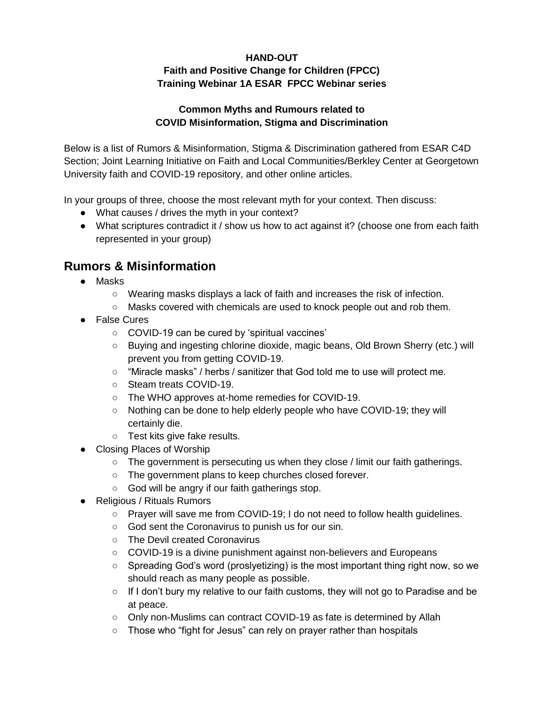# **HAND-OUT Faith and Positive Change for Children (FPCC) Training Webinar 1A ESAR FPCC Webinar series**

### **Common Myths and Rumours related to COVID Misinformation, Stigma and Discrimination**

Below is a list of Rumors & Misinformation, Stigma & Discrimination gathered from ESAR C4D Section; Joint Learning Initiative on Faith and Local Communities/Berkley Center at Georgetown University faith and COVID-19 repository, and other online articles.

In your groups of three, choose the most relevant myth for your context. Then discuss:

- What causes / drives the myth in your context?
- What scriptures contradict it / show us how to act against it? (choose one from each faith represented in your group)

# **Rumors & Misinformation**

- Masks
	- Wearing masks displays a lack of faith and increases the risk of infection.
	- Masks covered with chemicals are used to knock people out and rob them.
- False Cures
	- COVID-19 can be cured by 'spiritual vaccines'
	- Buying and ingesting chlorine dioxide, magic beans, Old Brown Sherry (etc.) will prevent you from getting COVID-19.
	- "Miracle masks" / herbs / sanitizer that God told me to use will protect me.
	- Steam treats COVID-19.
	- The WHO approves at-home remedies for COVID-19.
	- Nothing can be done to help elderly people who have COVID-19; they will certainly die.
	- Test kits give fake results.
- Closing Places of Worship
	- $\circ$  The government is persecuting us when they close / limit our faith gatherings.
	- The government plans to keep churches closed forever.
	- God will be angry if our faith gatherings stop.
- Religious / Rituals Rumors
	- Prayer will save me from COVID-19; I do not need to follow health guidelines.
	- God sent the Coronavirus to punish us for our sin.
	- The Devil created Coronavirus
	- COVID-19 is a divine punishment against non-believers and Europeans
	- Spreading God's word (proslyetizing) is the most important thing right now, so we should reach as many people as possible.
	- If I don't bury my relative to our faith customs, they will not go to Paradise and be at peace.
	- Only non-Muslims can contract COVID-19 as fate is determined by Allah
	- Those who "fight for Jesus" can rely on prayer rather than hospitals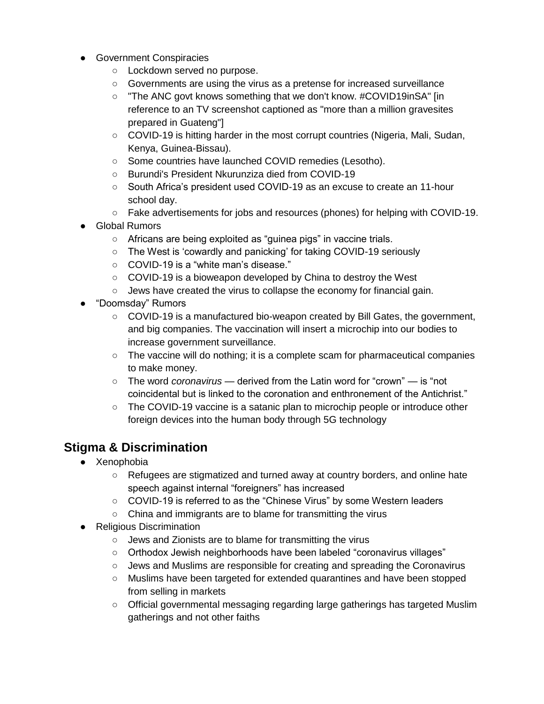- Government Conspiracies
	- Lockdown served no purpose.
	- Governments are using the virus as a pretense for increased surveillance
	- "The ANC govt knows something that we don't know. #COVID19inSA" [in reference to an TV screenshot captioned as "more than a million gravesites prepared in Guateng"]
	- COVID-19 is hitting harder in the most corrupt countries (Nigeria, Mali, Sudan, Kenya, Guinea-Bissau).
	- Some countries have launched COVID remedies (Lesotho).
	- Burundi's President Nkurunziza died from COVID-19
	- South Africa's president used COVID-19 as an excuse to create an 11-hour school day.
	- Fake advertisements for jobs and resources (phones) for helping with COVID-19.
- **Global Rumors** 
	- Africans are being exploited as "guinea pigs" in vaccine trials.
	- The West is 'cowardly and panicking' for taking COVID-19 seriously
	- COVID-19 is a "white man's disease."
	- COVID-19 is a bioweapon developed by China to destroy the West
	- Jews have created the virus to collapse the economy for financial gain.
- "Doomsday" Rumors
	- COVID-19 is a manufactured bio-weapon created by Bill Gates, the government, and big companies. The vaccination will insert a microchip into our bodies to increase government surveillance.
	- The vaccine will do nothing; it is a complete scam for pharmaceutical companies to make money.
	- The word *coronavirus* derived from the Latin word for "crown" is "not coincidental but is linked to the coronation and enthronement of the Antichrist."
	- $\circ$  The COVID-19 vaccine is a satanic plan to microchip people or introduce other foreign devices into the human body through 5G technology

# **Stigma & Discrimination**

- Xenophobia
	- Refugees are stigmatized and turned away at country borders, and online hate speech against internal "foreigners" has increased
	- COVID-19 is referred to as the "Chinese Virus" by some Western leaders
	- China and immigrants are to blame for transmitting the virus
- Religious Discrimination
	- Jews and Zionists are to blame for transmitting the virus
	- Orthodox Jewish neighborhoods have been labeled "coronavirus villages"
	- Jews and Muslims are responsible for creating and spreading the Coronavirus
	- Muslims have been targeted for extended quarantines and have been stopped from selling in markets
	- Official governmental messaging regarding large gatherings has targeted Muslim gatherings and not other faiths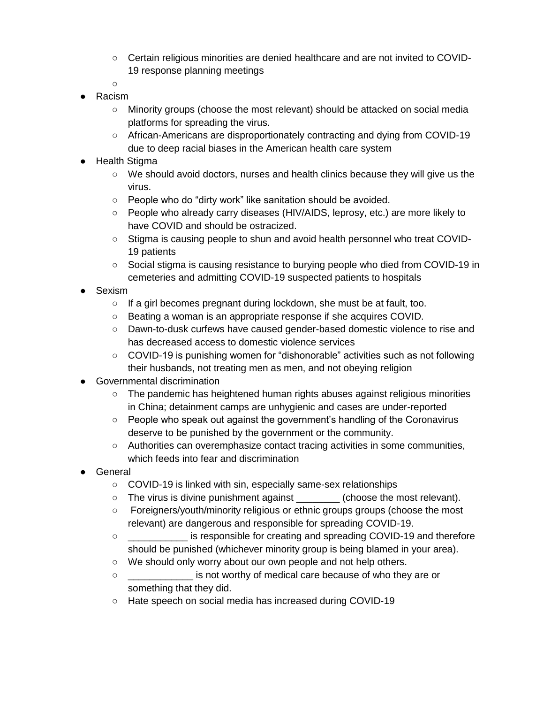- Certain religious minorities are denied healthcare and are not invited to COVID-19 response planning meetings
- ○
- Racism
	- Minority groups (choose the most relevant) should be attacked on social media platforms for spreading the virus.
	- African-Americans are disproportionately contracting and dying from COVID-19 due to deep racial biases in the American health care system
- **Health Stigma** 
	- $\circ$  We should avoid doctors, nurses and health clinics because they will give us the virus.
	- People who do "dirty work" like sanitation should be avoided.
	- People who already carry diseases (HIV/AIDS, leprosy, etc.) are more likely to have COVID and should be ostracized.
	- Stigma is causing people to shun and avoid health personnel who treat COVID-19 patients
	- Social stigma is causing resistance to burying people who died from COVID-19 in cemeteries and admitting COVID-19 suspected patients to hospitals
- Sexism
	- If a girl becomes pregnant during lockdown, she must be at fault, too.
	- Beating a woman is an appropriate response if she acquires COVID.
	- Dawn-to-dusk curfews have caused gender-based domestic violence to rise and has decreased access to domestic violence services
	- COVID-19 is punishing women for "dishonorable" activities such as not following their husbands, not treating men as men, and not obeying religion
- Governmental discrimination
	- $\circ$  The pandemic has heightened human rights abuses against religious minorities in China; detainment camps are unhygienic and cases are under-reported
	- People who speak out against the government's handling of the Coronavirus deserve to be punished by the government or the community.
	- Authorities can overemphasize contact tracing activities in some communities, which feeds into fear and discrimination
- General
	- COVID-19 is linked with sin, especially same-sex relationships
	- The virus is divine punishment against \_\_\_\_\_\_\_\_ (choose the most relevant).
	- Foreigners/youth/minority religious or ethnic groups groups (choose the most relevant) are dangerous and responsible for spreading COVID-19.
	- \_\_\_\_\_\_\_\_\_\_\_ is responsible for creating and spreading COVID-19 and therefore should be punished (whichever minority group is being blamed in your area).
	- We should only worry about our own people and not help others.
	- \_\_\_\_\_\_\_\_\_\_\_\_ is not worthy of medical care because of who they are or something that they did.
	- Hate speech on social media has increased during COVID-19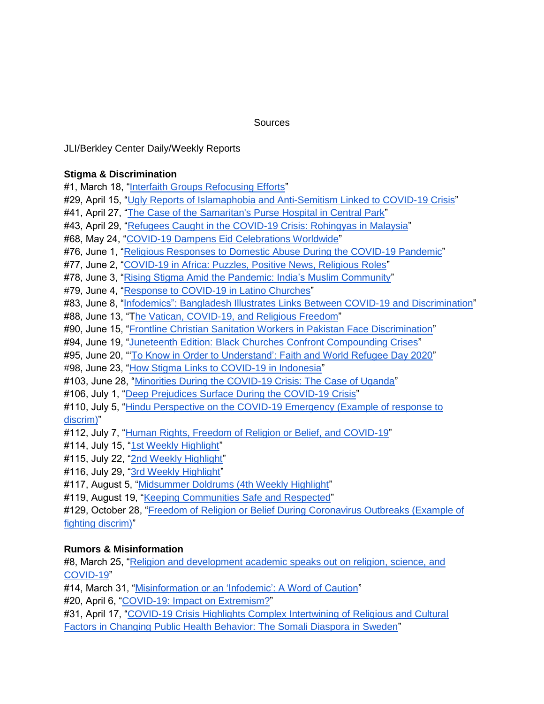### **Sources**

JLI/Berkley Center Daily/Weekly Reports

### **Stigma & Discrimination**

#1, March 18, ["Interfaith Groups Refocusing Efforts"](https://mailchi.mp/f41f94949f66/covid-19-march-18-highlight)

- #29, April 15, ["Ugly Reports of Islamaphobia and Anti-Semitism Linked to COVID-19 Crisis"](https://mailchi.mp/1bb133ba932c/covid-19-april-15-highlight-4038)
- #41, April 27, ["The Case of the Samaritan's Purse Hospital in Central Park"](https://mailchi.mp/87646deaedff/covid-19-april-27-highlight-4106)
- #43, April 29, ["Refugees Caught in the COVID-19 Crisis: Rohingyas in Malaysia"](https://mailchi.mp/2f4f95740e2d/covid-19-april-29-highlight-4126)
- #68, May 24, ["COVID-19 Dampens Eid Celebrations Worldwide"](https://mailchi.mp/7e91175b2776/covid-19-may-24-highlight-4322)
- #76, June 1, ["Religious Responses to Domestic Abuse During the COVID-19 Pandemic"](https://us1.campaign-archive.com/?u=dfcac1bf9a4ccb7126f3d2bc8&id=5856fc5535)
- #77, June 2, ["COVID-19 in Africa: Puzzles, Positive News, Religious Roles"](https://us1.campaign-archive.com/?u=dfcac1bf9a4ccb7126f3d2bc8&id=ffe89b355b)
- #78, June 3, ["Rising Stigma Amid the Pandemic: India's Muslim Community"](https://us1.campaign-archive.com/?u=dfcac1bf9a4ccb7126f3d2bc8&id=f0cb0cad54)
- #79, June 4, ["Response to COVID-19 in Latino Churches"](https://us1.campaign-archive.com/?u=dfcac1bf9a4ccb7126f3d2bc8&id=777df1f736)
- #83, June 8, "Infodemics": [Bangladesh Illustrates Links Between COVID-19 and Discrimination"](https://us1.campaign-archive.com/?u=dfcac1bf9a4ccb7126f3d2bc8&id=d3c43b0c90)
- #88, June 13, "[The Vatican, COVID-19, and Religious Freedom"](https://us1.campaign-archive.com/?u=dfcac1bf9a4ccb7126f3d2bc8&id=46b7656adb)
- #90, June 15, ["Frontline Christian Sanitation Workers in Pakistan Face Discrimination"](https://us1.campaign-archive.com/?u=dfcac1bf9a4ccb7126f3d2bc8&id=38e7ac2385)
- #94, June 19, ["Juneteenth Edition: Black Churches Confront Compounding Crises"](https://us1.campaign-archive.com/?u=dfcac1bf9a4ccb7126f3d2bc8&id=12847c6d93)
- #95, June 20, "['To Know in Order to Understand': Faith and World Refugee Day 2020"](https://us1.campaign-archive.com/?u=dfcac1bf9a4ccb7126f3d2bc8&id=561d200b85)
- #98, June 23, ["How Stigma Links to COVID-19 in Indonesia"](https://us1.campaign-archive.com/?u=dfcac1bf9a4ccb7126f3d2bc8&id=89c5d15ce0)
- #103, June 28, ["Minorities During the COVID-19 Crisis: The Case of Uganda"](https://us1.campaign-archive.com/?u=dfcac1bf9a4ccb7126f3d2bc8&id=91bc1f4022)
- #106, July 1, ["Deep Prejudices Surface During the COVID-19 Crisis"](https://mailchi.mp/05d989415a14/covid-19-july-1-highlight-4578)
- #110, July 5, ["Hindu Perspective on the COVID-19 Emergency \(Example of response to](https://us1.campaign-archive.com/?u=dfcac1bf9a4ccb7126f3d2bc8&id=331282e9a1)  [discrim\)"](https://us1.campaign-archive.com/?u=dfcac1bf9a4ccb7126f3d2bc8&id=331282e9a1)
- #112, July 7, ["Human Rights, Freedom of Religion or Belief, and COVID-19"](https://us1.campaign-archive.com/?u=dfcac1bf9a4ccb7126f3d2bc8&id=de227b9461)
- #114, July 15, ["1st Weekly Highlight"](https://mailchi.mp/1a069a6bad62/covid-19-july-15-highlight-4642)
- #115, July 22, ["2nd Weekly Highlight"](https://mailchi.mp/26bd4dc86d9c/covid-19-july-22-highlight-4654)
- #116, July 29, ["3rd Weekly Highlight"](https://mailchi.mp/1da073fcf71b/covid-19-july-29-highlight-4666)
- #117, August 5, ["Midsummer Doldrums \(4th Weekly Highlight"](https://mailchi.mp/d4fffcc0d492/covid-19-august-5-highlight)
- #119, August 19, ["Keeping Communities Safe and Respected"](https://us1.campaign-archive.com/?u=dfcac1bf9a4ccb7126f3d2bc8&id=bbc4363039)

#129, October 28, ["Freedom of Religion or Belief During Coronavirus Outbreaks \(Example of](https://us1.campaign-archive.com/?u=dfcac1bf9a4ccb7126f3d2bc8&id=faffd4b5da)  [fighting discrim\)"](https://us1.campaign-archive.com/?u=dfcac1bf9a4ccb7126f3d2bc8&id=faffd4b5da)

## **Rumors & Misinformation**

#8, March 25, ["Religion and development academic speaks out on religion, science, and](https://mailchi.mp/447d1f7552f7/covid-19-march-25-highlight-3889)  [COVID-19"](https://mailchi.mp/447d1f7552f7/covid-19-march-25-highlight-3889)

#14, March 31, ["Misinformation or an 'Infodemic': A Word of Caution"](https://mailchi.mp/03c4fde284bc/covid-19-march-31-highlight-3922)

#20, April 6, ["COVID-19: Impact on Extremism?"](https://mailchi.mp/174f3bc75ae2/covid-19-april-6-highlight-3974)

#31, April 17, ["COVID-19 Crisis Highlights Complex Intertwining of Religious and Cultural](https://mailchi.mp/32531fb9396c/covid-19-april-17-highlight-4058)  [Factors in Changing Public Health Behavior: The Somali Diaspora in Sweden"](https://mailchi.mp/32531fb9396c/covid-19-april-17-highlight-4058)